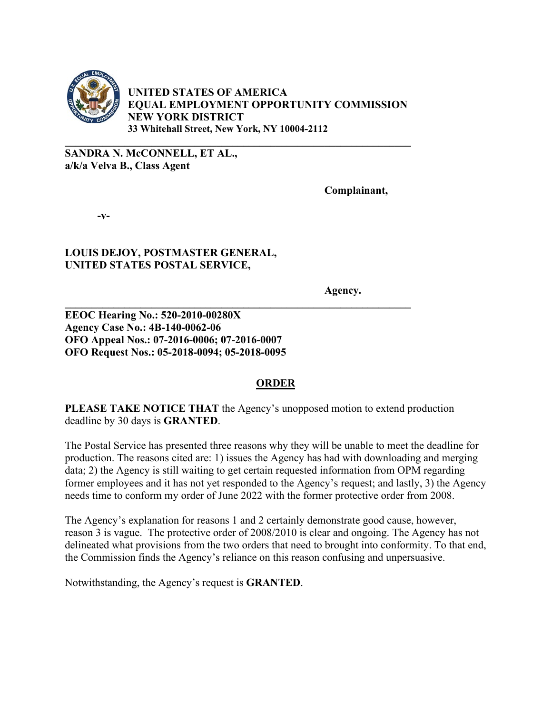

**UNITED STATES OF AMERICA EQUAL EMPLOYMENT OPPORTUNITY COMMISSION NEW YORK DISTRICT 33 Whitehall Street, New York, NY 10004-2112** 

**\_\_\_\_\_\_\_\_\_\_\_\_\_\_\_\_\_\_\_\_\_\_\_\_\_\_\_\_\_\_\_\_\_\_\_\_\_\_\_\_\_\_\_\_\_\_\_\_\_\_\_\_\_\_\_\_\_\_\_\_\_\_\_\_** 

**\_\_\_\_\_\_\_\_\_\_\_\_\_\_\_\_\_\_\_\_\_\_\_\_\_\_\_\_\_\_\_\_\_\_\_\_\_\_\_\_\_\_\_\_\_\_\_\_\_\_\_\_\_\_\_\_\_\_\_\_\_\_\_\_** 

**SANDRA N. McCONNELL, ET AL., a/k/a Velva B., Class Agent** 

**Complainant,** 

**-v-** 

## **LOUIS DEJOY, POSTMASTER GENERAL, UNITED STATES POSTAL SERVICE,**

 **Agency.** 

**EEOC Hearing No.: 520-2010-00280X Agency Case No.: 4B-140-0062-06 OFO Appeal Nos.: 07-2016-0006; 07-2016-0007 OFO Request Nos.: 05-2018-0094; 05-2018-0095** 

## **ORDER**

**PLEASE TAKE NOTICE THAT** the Agency's unopposed motion to extend production deadline by 30 days is **GRANTED**.

The Postal Service has presented three reasons why they will be unable to meet the deadline for production. The reasons cited are: 1) issues the Agency has had with downloading and merging data; 2) the Agency is still waiting to get certain requested information from OPM regarding former employees and it has not yet responded to the Agency's request; and lastly, 3) the Agency needs time to conform my order of June 2022 with the former protective order from 2008.

The Agency's explanation for reasons 1 and 2 certainly demonstrate good cause, however, reason 3 is vague. The protective order of 2008/2010 is clear and ongoing. The Agency has not delineated what provisions from the two orders that need to brought into conformity. To that end, the Commission finds the Agency's reliance on this reason confusing and unpersuasive.

Notwithstanding, the Agency's request is **GRANTED**.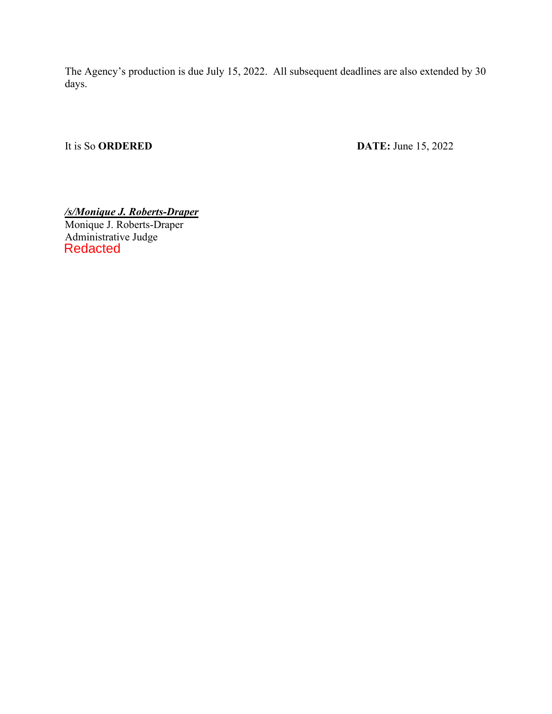The Agency's production is due July 15, 2022. All subsequent deadlines are also extended by 30 days.

It is So **ORDERED** DATE: June 15, 2022

*/s/Monique J. Roberts-Draper* Monique J. Roberts-Draper Administrative Judge Redacted